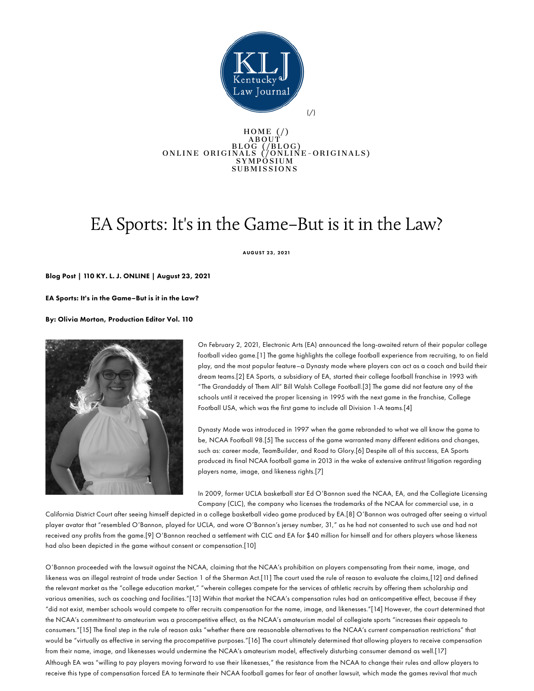

## HO[M](https://www.kentuckylawjournal.org/)E (/)<br>ABOUT  $ABQUT$ BL[O](https://www.kentuckylawjournal.org/online-originals)G (/BLOG)<br>ONLINE ORIGINALS (/ONLINE-ORIGINALS) S Y M P O S I U M SUBMISSIONS

## EA Sports: It's in the Game–But is it in the Law?

AUGUST 23, 2021

Blog Post | 110 KY. L. J. ONLINE | August 23, 2021

EA Sports: It's in the Game–But is it in the Law?

By: Olivia Morton, Production Editor Vol. 110



On February 2, 2021, Electronic Arts (EA) announced the long-awaited return of their popular college football video game.[1] The game highlights the college football experience from recruiting, to on field play, and the most popular feature–a Dynasty mode where players can act as a coach and build their dream teams.[2] EA Sports, a subsidiary of EA, started their college football franchise in 1993 with "The Grandaddy of Them All" Bill Walsh College Football.[3] The game did not feature any of the schools until it received the proper licensing in 1995 with the next game in the franchise, College Football USA, which was the first game to include all Division 1-A teams.[4]

Dynasty Mode was introduced in 1997 when the game rebranded to what we all know the game to be, NCAA Football 98.[5] The success of the game warranted many different editions and changes, such as: career mode, TeamBuilder, and Road to Glory.[6] Despite all of this success, EA Sports produced its final NCAA football game in 2013 in the wake of extensive antitrust litigation regarding players name, image, and likeness rights.[7]

In 2009, former UCLA basketball star Ed O'Bannon sued the NCAA, EA, and the Collegiate Licensing Company (CLC), the company who licenses the trademarks of the NCAA for commercial use, in a

California District Court after seeing himself depicted in a college basketball video game produced by EA.[8] O'Bannon was outraged after seeing a virtual player avatar that "resembled O'Bannon, played for UCLA, and wore O'Bannon's jersey number, 31," as he had not consented to such use and had not received any profits from the game.[9] O'Bannon reached a settlement with CLC and EA for \$40 million for himself and for others players whose likeness had also been depicted in the game without consent or compensation.[10]

O'Bannon proceeded with the lawsuit against the NCAA, claiming that the NCAA's prohibition on players compensating from their name, image, and likeness was an illegal restraint of trade under Section 1 of the Sherman Act.[11] The court used the rule of reason to evaluate the claims,[12] and defined the relevant market as the "college education market," "wherein colleges compete for the services of athletic recruits by offering them scholarship and various amenities, such as coaching and facilities."[13] Within that market the NCAA's compensation rules had an anticompetitive effect, because if they "did not exist, member schools would compete to offer recruits compensation for the name, image, and likenesses."[14] However, the court determined that the NCAA's commitment to amateurism was a procompetitive effect, as the NCAA's amateurism model of collegiate sports "increases their appeals to consumers."[15] The final step in the rule of reason asks "whether there are reasonable alternatives to the NCAA's current compensation restrictions" that would be "virtually as effective in serving the procompetitive purposes."[16] The court ultimately determined that allowing players to receive compensation from their name, image, and likenesses would undermine the NCAA's amateurism model, effectively disturbing consumer demand as well.[17] Although EA was "willing to pay players moving forward to use their likenesses," the resistance from the NCAA to change their rules and allow players to receive this type of compensation forced EA to terminate their NCAA football games for fear of another lawsuit, which made the games revival that much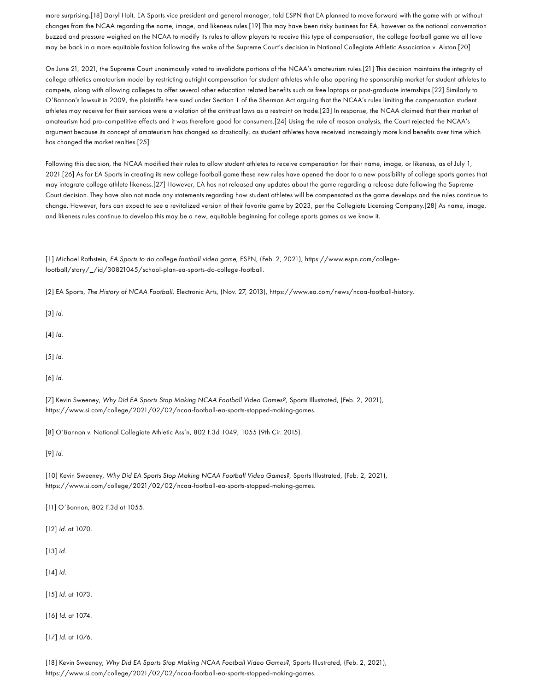more surprising.[18] Daryl Holt, EA Sports vice president and general manager, told ESPN that EA planned to move forward with the game with or without changes from the NCAA regarding the name, image, and likeness rules.[19] This may have been risky business for EA, however as the national conversation buzzed and pressure weighed on the NCAA to modify its rules to allow players to receive this type of compensation, the college football game we all love may be back in a more equitable fashion following the wake of the Supreme Court's decision in National Collegiate Athletic Association v. Alston.[20]

On June 21, 2021, the Supreme Court unanimously voted to invalidate portions of the NCAA's amateurism rules.[21] This decision maintains the integrity of college athletics amateurism model by restricting outright compensation for student athletes while also opening the sponsorship market for student athletes to compete, along with allowing colleges to offer several other education related benefits such as free laptops or post-graduate internships.[22] Similarly to O'Bannon's lawsuit in 2009, the plaintiffs here sued under Section 1 of the Sherman Act arguing that the NCAA's rules limiting the compensation student athletes may receive for their services were a violation of the antitrust laws as a restraint on trade.[23] In response, the NCAA claimed that their market of amateurism had pro-competitive effects and it was therefore good for consumers.[24] Using the rule of reason analysis, the Court rejected the NCAA's argument because its concept of amateurism has changed so drastically, as student athletes have received increasingly more kind benefits over time which has changed the market realties.[25]

Following this decision, the NCAA modified their rules to allow student athletes to receive compensation for their name, image, or likeness, as of July 1, 2021.[26] As for EA Sports in creating its new college football game these new rules have opened the door to a new possibility of college sports games that may integrate college athlete likeness.[27] However, EA has not released any updates about the game regarding a release date following the Supreme Court decision. They have also not made any statements regarding how student athletes will be compensated as the game develops and the rules continue to change. However, fans can expect to see a revitalized version of their favorite game by 2023, per the Collegiate Licensing Company.[28] As name, image, and likeness rules continue to develop this may be a new, equitable beginning for college sports games as we know it.

[1] Michael Rothstein, EA Sports to do college football video game, ESPN, (Feb. 2, 2021), https://www.espn.com/collegefootball/story/\_/id/30821045/school-plan-ea-sports-do-college-football.

[2] EA Sports, The History of NCAA Football, Electronic Arts, (Nov. 27, 2013), https://www.ea.com/news/ncaa-football-history.

[3] Id.

[4] Id.

[5] Id.

[6] Id.

[7] Kevin Sweeney, Why Did EA Sports Stop Making NCAA Football Video Games?, Sports Illustrated, (Feb. 2, 2021), https://www.si.com/college/2021/02/02/ncaa-football-ea-sports-stopped-making-games.

[8] O'Bannon v. National Collegiate Athletic Ass'n, 802 F.3d 1049, 1055 (9th Cir. 2015).

[9] Id.

[10] Kevin Sweeney, Why Did EA Sports Stop Making NCAA Football Video Games?, Sports Illustrated, (Feb. 2, 2021), https://www.si.com/college/2021/02/02/ncaa-football-ea-sports-stopped-making-games.

[11] O'Bannon, 802 F.3d at 1055.

[12] Id. at 1070.

[13] *Id.* 

[14] Id.

[15] Id. at 1073.

[16] Id. at 1074.

[17] Id. at 1076.

[18] Kevin Sweeney, Why Did EA Sports Stop Making NCAA Football Video Games?, Sports Illustrated, (Feb. 2, 2021), https://www.si.com/college/2021/02/02/ncaa-football-ea-sports-stopped-making-games.